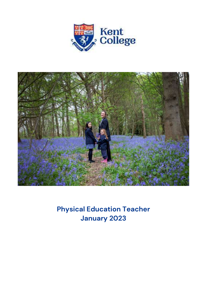



**Physical Education Teacher January 2023**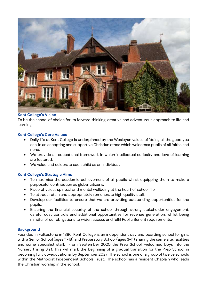

# **Kent College's Vision**

To be the school of choice for its forward thinking, creative and adventurous approach to life and learning.

## **Kent College's Core Values**

- Daily life at Kent College is underpinned by the Wesleyan values of 'doing all the good you can' in an accepting and supportive Christian ethos which welcomes pupils of all faiths and none.
- We provide an educational framework in which intellectual curiosity and love of learning are fostered.
- We value and celebrate each child as an individual.

## **Kent College's Strategic Aims**

- To maximise the academic achievement of all pupils whilst equipping them to make a purposeful contribution as global citizens.
- Place physical, spiritual and mental wellbeing at the heart of school life.
- To attract, retain and appropriately remunerate high quality staff.
- Develop our facilities to ensure that we are providing outstanding opportunities for the pupils.
- Ensuring the financial security of the school through strong stakeholder engagement, careful cost controls and additional opportunities for revenue generation, whilst being mindful of our obligations to widen access and fulfil Public Benefit requirements.

## **Background**

Founded in Folkestone in 1886, Kent College is an independent day and boarding school for girls, with a Senior School (ages 11-18) and Preparatory School (ages 3-11) sharing the same site, facilities and some specialist staff. From September 2020 the Prep School, welcomed boys into the Nursery (rising 3's). This will mark the beginning of a gradual transition for the Prep School in becoming fully co-educational by September 2027. The school is one of a group of twelve schools within the Methodist Independent Schools Trust. The school has a resident Chaplain who leads the Christian worship in the school.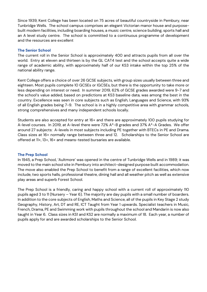Since 1939, Kent College has been located on 75 acres of beautiful countryside in Pembury, near Tunbridge Wells. The school campus comprises an elegant Victorian manor house and purposebuilt modern facilities, including boarding houses, a music centre, science building, sports hall and an A level study centre. The school is committed to a continuous programme of development and the resources are excellent

## **The Senior School**

The current roll in the Senior School is approximately 400 and attracts pupils from all over the world. Entry at eleven and thirteen is by the GL CAT4 test and the school accepts quite a wide range of academic ability, with approximately half of our KS3 intake within the top 25% of the national ability range.

Kent College offers a choice of over 26 GCSE subjects, with group sizes usually between three and eighteen. Most pupils complete 10 GCSEs or IGCSEs, but there is the opportunity to take more or less depending on interest or need. In summer 2019, 62% of GCSE grades awarded were 9-7 and the school's value added, based on predictions at KS3 baseline data, was among the best in the country. Excellence was seen in core subjects such as English, Languages and Science, with 93% of all English grades being 7-9. The school is in a highly competitive area with grammar schools, strong comprehensives and many independent schools locally.

Students are also accepted for entry at 16+ and there are approximately 100 pupils studying for A-level courses. In 2019, at A-level there were 72% A\*-B grades and 37% A\*-A Grades. We offer around 27 subjects: A-levels in most subjects including PE together with BTECs in PE and Drama. Class sizes at 16+ normally range between three and 12. Scholarships to the Senior School are offered at 11+, 13+, 16+ and means-tested bursaries are available.

## **The Prep School**

In 1945, a Prep School, 'Aultmore' was opened in the centre of Tunbridge Wells and in 1989; it was moved to the main school site in Pembury into architect-designed purpose built accommodation. The move also enabled the Prep School to benefit from a range of excellent facilities, which now include, two sports halls, professional theatre, dining hall and all weather pitch as well as extensive play areas and superb Forest School.

The Prep School is a friendly, caring and happy school with a current roll of approximately 110 pupils aged 3 to 11 (Nursery – Year 6). The majority are day pupils with a small number of boarders. In addition to the core subjects of English, Maths and Science, all of the pupils in Key Stage 2 study Geography, History, Art, DT and RE, ICT Taught from Year 1 upwards. Specialist teachers in Music, French, Drama, PE and Swimming work with pupils throughout the school and Mandarin is now also taught in Year 6. Class sizes in KS1 and KS2 are normally a maximum of 18. Each year, a number of pupils apply for and are awarded scholarships to the Senior School.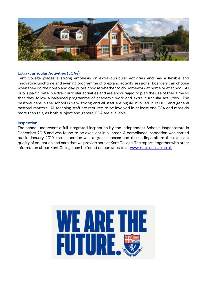

# **Extra-curricular Activities (ECAs)**

Kent College places a strong emphasis on extra-curricular activities and has a flexible and innovative lunchtime and evening programme of prep and activity sessions. Boarders can choose when they do their prep and day pupils choose whether to do homework at home or at school. All pupils participate in extra-curricular activities and are encouraged to plan the use of their time so that they follow a balanced programme of academic work and extra-curricular activities. The pastoral care in the school is very strong and all staff are highly involved in PSHCE and general pastoral matters. All teaching staff are required to be involved in at least one ECA and most do more than this, as both subject and general ECA are available.

#### **Inspection**

The school underwent a full integrated inspection by the Independent Schools Inspectorate in December 2015 and was found to be excellent in all areas. A compliance Inspection was carried out in January 2019, the inspection was a great success and the findings affirm the excellent quality of education and care that we provide here at Kent College. The reports together with other information about Kent College can be found on our website at [www.kent-college.co.uk](http://www.kent-college.co.uk/)

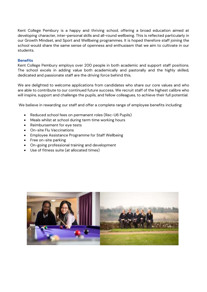Kent College Pembury is a happy and thriving school, offering a broad education aimed at developing character, inter-personal skills and all-round wellbeing. This is reflected particularly in our Growth Mindset, and Sport and Wellbeing programmes. It is hoped therefore staff joining the school would share the same sense of openness and enthusiasm that we aim to cultivate in our students.

# **Benefits**

Kent College Pembury employs over 200 people in both academic and support staff positions. The school excels in adding value both academically and pastorally and the highly skilled, dedicated and passionate staff are the driving force behind this.

We are delighted to welcome applications from candidates who share our core values and who are able to contribute to our continued future success. We recruit staff of the highest calibre who will inspire, support and challenge the pupils, and fellow colleagues, to achieve their full potential.

We believe in rewarding our staff and offer a complete range of employee benefits including:

- Reduced school fees on permanent roles (Rec-U6 Pupils)
- Meals whilst at school during term time working hours
- Reimbursement for eye tests
- On-site Flu Vaccinations
- Employee Assistance Programme for Staff Wellbeing
- Free on-site parking
- On-going professional training and development
- Use of fitness suite (at allocated times)

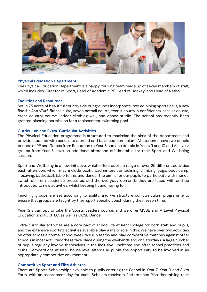

#### **Physical Education Department**

The Physical Education Department is a happy, thriving team made up of seven members of staff, which includes, Director of Sport, Head of Academic PE, Head of Hockey, and Head of Netball.

#### **Facilities and Resources**

Set in 75 acres of beautiful countryside our grounds incorporate, two adjoining sports halls, a new floodlit AstroTurf, fitness suite, seven netball courts, tennis courts, a confidence/ assault course, cross country course, indoor climbing wall, and dance studio. The school has recently been granted planning permission for a replacement swimming pool.

#### **Curriculum and Extra-Curricular Activities**

The Physical Education programme is structured to maximise the aims of the department and provide students with access to a broad and balanced curriculum. All students have two double periods of PE and Games from Reception to Year 8 and one double in Years 9 and 10 and ALL year groups from Year 3 have an additional afternoon off timetable for their Sport and Wellbeing session.

Sport and Wellbeing is a new initiative, which offers pupils a range of over 25 different activities each afternoon, which may include boxfit, badminton, trampolining, climbing, yoga, boot camp, lifesaving, basketball, table tennis and dance. The aim is for our pupils to participate with friends, switch off from academic pressures, and the everyday demands they are faced with and be introduced to new activities, whilst keeping fit and having fun.

Teaching groups are set according to ability, and we structure our curriculum programme to ensure that groups are taught by their sport specific coach during their lesson time.

Year 12's can opt to take the Sports Leaders course, and we offer GCSE and A Level Physical Education and PE BTEC, as well as GCSE Dance.

Extra-curricular activities are a core part of school life at Kent College for both staff and pupils, and the extensive sporting activities available play a major role in this. We have over two activities on offer across a normal school week. We run teams and play competitive matches against other schools in most activities; these take place during the weekends and on Saturdays. A large number of pupils regularly involve themselves in the inclusive lunchtime and after school practices and clubs. Competitions at Inter-house level affords all pupils the opportunity to be involved in an appropriately competitive environment.

## **Competitive Sport and Elite Athletes**

There are Sports Scholarships available to pupils entering the School in Year 7, Year 9 and Sixth Form, with an assessment day for each. Scholars receive a Performance Plan timetabling their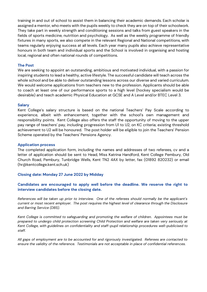training in and out of school to assist them in balancing their academic demands. Each scholar is assigned a mentor, who meets with the pupils weekly to check they are on top of their schoolwork. They take part in weekly strength and conditioning sessions and talks from guest speakers in the fields of sports medicine, nutrition and psychology. As well as the weekly programme of friendly fixtures in many sports, we also compete in the relevant Regional and National competitions, with teams regularly enjoying success at all levels. Each year many pupils also achieve representative honours in both team and individual sports and the School is involved in organising and hosting local, regional and often national rounds of competitions.

### **The Post**

We are seeking to appoint an outstanding, ambitious and motivated individual, with a passion for inspiring students to lead a healthy, active lifestyle. The successful candidate will teach across the whole school and be able to deliver outstanding lessons across our diverse and varied curriculum. We would welcome applications from teachers new to the profession. Applicants should be able to coach at least one of our performance sports to a high level (hockey specialism would be desirable) and teach academic Physical Education at GCSE and A Level and/or BTEC Level 3.

#### **Salary**

Kent College's salary structure is based on the national Teachers' Pay Scale according to experience, albeit with enhancement, together with the school's own management and responsibility points. Kent College also offers the staff the opportunity of moving to the upper pay range of teachers' pay, including progression from U1 to U2, on KC criteria; existing threshold achievement to U2 will be honoured. The post holder will be eligible to join the Teachers' Pension Scheme operated by the Teachers' Pensions Agency.

#### **Application process**

The completed application form, including the names and addresses of two referees, cv and a letter of application should be sent to Head, Miss Katrina Handford, Kent College Pembury, Old Church Road, Pembury, Tunbridge Wells, Kent TN2 4AX by letter, fax (01892 820232) or email (hr@kentcollege.kent.sch.uk)

## **Closing date: Monday 27 June 2022 by Midday**

# **Candidates are encouraged to apply well before the deadline. We reserve the right to interview candidates before the closing date.**

*References will be taken up prior to interview. One of the referees should normally be the applicant's current or most recent employer. The post requires the highest level of clearance through the Disclosure and Barring Service (DBS).* 

*Kent College is committed to safeguarding and promoting the welfare of children. Appointees must be prepared to undergo child protection screening Child Protection and welfare are taken very seriously at Kent College, with guidelines on confidentiality and staff-pupil relationship procedures well-publicised to staff.* 

*All gaps of employment are to be accounted for and rigorously investigated. Referees are contacted to ensure the validity of the reference. Testimonials are not acceptable in place of confidential references.*